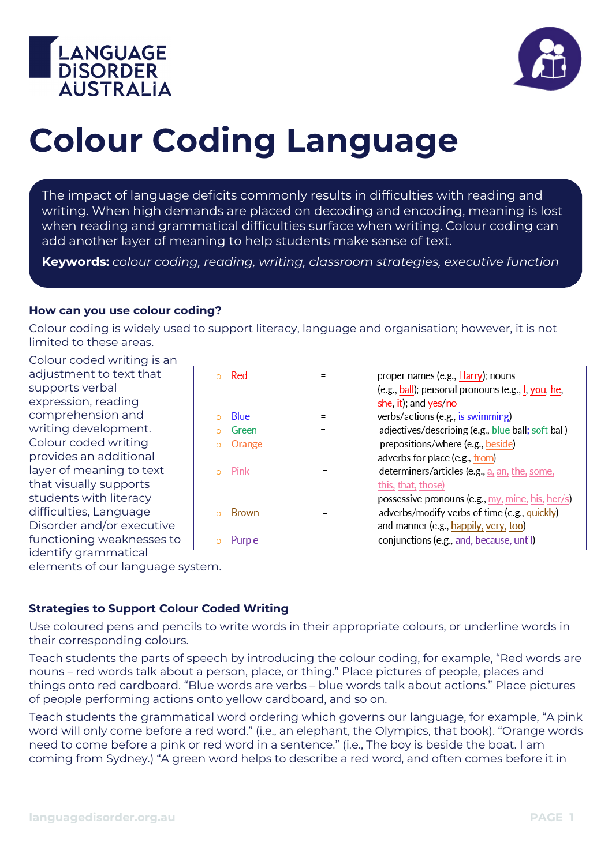



# **Colour Coding Language**

The impact of language deficits commonly results in difficulties with reading and writing. When high demands are placed on decoding and encoding, meaning is lost when reading and grammatical difficulties surface when writing. Colour coding can add another layer of meaning to help students make sense of text.

**Keywords:** *colour coding, reading, writing, classroom strategies, executive function*

#### **How can you use colour coding?**

Colour coding is widely used to support literacy, language and organisation; however, it is not limited to these areas.

Colour coded writing is an adjustment to text that supports verbal expression, reading comprehension and writing development. Colour coded writing provides an additional layer of meaning to text that visually supports students with literacy difficulties, Language Disorder and/or executive functioning weaknesses to identify grammatical

|         | Red          | $=$ | proper names (e.g., Harry); nouns<br>(e.g., ball); personal pronouns (e.g., I, you, he,<br>she, it); and yes/no                           |
|---------|--------------|-----|-------------------------------------------------------------------------------------------------------------------------------------------|
|         | <b>Blue</b>  | $=$ | verbs/actions (e.g., is swimming)                                                                                                         |
|         | Green        | $=$ | adjectives/describing (e.g., blue ball; soft ball)                                                                                        |
| $\circ$ | Orange       | $=$ | prepositions/where (e.g., beside)                                                                                                         |
|         | Pink         |     | adverbs for place (e.g., from)<br>determiners/articles (e.g., a, an, the, some,<br>this, that, those)                                     |
|         | <b>Brown</b> |     | possessive pronouns (e.g., my, mine, his, her/s)<br>adverbs/modify verbs of time (e.g., quickly)<br>and manner (e.g., happily, very, too) |
|         | Purple       |     | conjunctions (e.g., and, because, until)                                                                                                  |
|         |              |     |                                                                                                                                           |

elements of our language system.

### **Strategies to Support Colour Coded Writing**

Use coloured pens and pencils to write words in their appropriate colours, or underline words in their corresponding colours.

Teach students the parts of speech by introducing the colour coding, for example, "Red words are nouns – red words talk about a person, place, or thing." Place pictures of people, places and things onto red cardboard. "Blue words are verbs – blue words talk about actions." Place pictures of people performing actions onto yellow cardboard, and so on.

Teach students the grammatical word ordering which governs our language, for example, "A pink word will only come before a red word." (i.e., an elephant, the Olympics, that book). "Orange words need to come before a pink or red word in a sentence." (i.e., The boy is beside the boat. I am coming from Sydney.) "A green word helps to describe a red word, and often comes before it in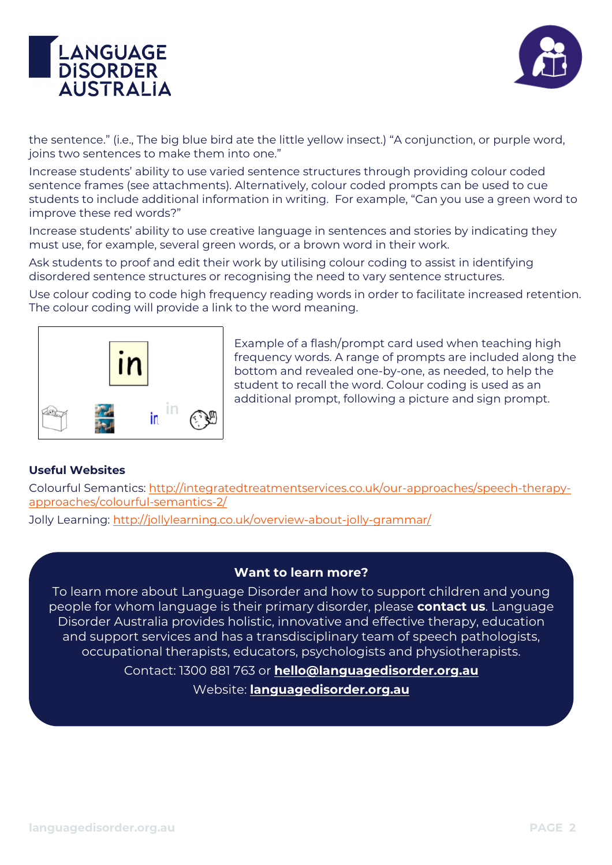



the sentence." (i.e., The big blue bird ate the little yellow insect.) "A conjunction, or purple word, joins two sentences to make them into one."

Increase students' ability to use varied sentence structures through providing colour coded sentence frames (see attachments). Alternatively, colour coded prompts can be used to cue students to include additional information in writing. For example, "Can you use a green word to improve these red words?"

Increase students' ability to use creative language in sentences and stories by indicating they must use, for example, several green words, or a brown word in their work.

Ask students to proof and edit their work by utilising colour coding to assist in identifying disordered sentence structures or recognising the need to vary sentence structures.

Use colour coding to code high frequency reading words in order to facilitate increased retention. The colour coding will provide a link to the word meaning.



Example of a flash/prompt card used when teaching high frequency words. A range of prompts are included along the bottom and revealed one-by-one, as needed, to help the student to recall the word. Colour coding is used as an additional prompt, following a picture and sign prompt.

### **Useful Websites**

Colourful Semantics: [http://integratedtreatmentservices.co.uk/our-approaches/speech-therapy](http://integratedtreatmentservices.co.uk/our-approaches/speech-therapy-approaches/colourful-semantics-2/)[approaches/colourful-semantics-2/](http://integratedtreatmentservices.co.uk/our-approaches/speech-therapy-approaches/colourful-semantics-2/)

Jolly Learning: http://jollylearning.co.uk/overview-about-jolly-grammar/

### **Want to learn more?**

To learn more about Language Disorder and how to support children and young people for whom language is their primary disorder, please **contact us**. Language Disorder Australia provides holistic, innovative and effective therapy, education and support services and has a transdisciplinary team of speech pathologists, occupational therapists, educators, psychologists and physiotherapists.

> Contact: 1300 881 763 or **[hello@languagedisorder.org.au](mailto:hello@languagedisorder.org.au)** Website: **[languagedisorder.org.au](http://www.languagedisorder.org.au/)**